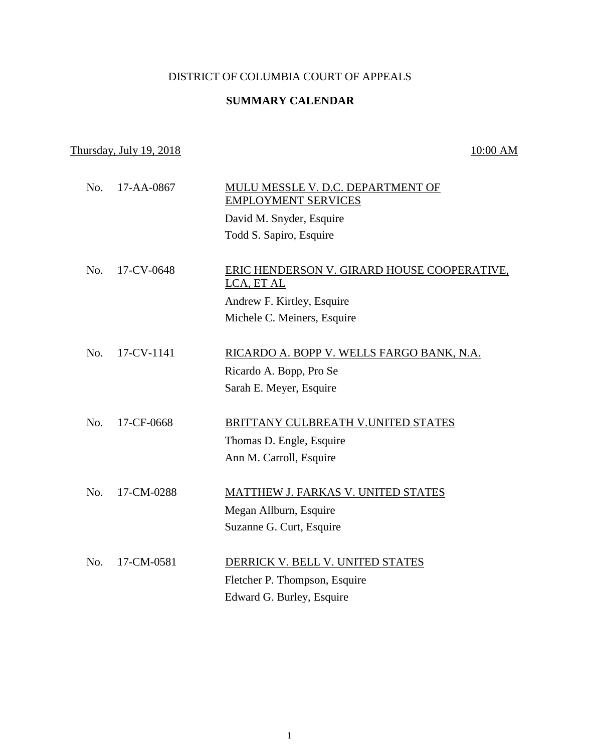## DISTRICT OF COLUMBIA COURT OF APPEALS

## **SUMMARY CALENDAR**

## $\frac{10:00 \text{ AM}}{10:00 \text{ AM}}$

| No. | 17-AA-0867 | MULU MESSLE V. D.C. DEPARTMENT OF<br><b>EMPLOYMENT SERVICES</b><br>David M. Snyder, Esquire<br>Todd S. Sapiro, Esquire |
|-----|------------|------------------------------------------------------------------------------------------------------------------------|
| No. | 17-CV-0648 | ERIC HENDERSON V. GIRARD HOUSE COOPERATIVE,<br>LCA, ET AL<br>Andrew F. Kirtley, Esquire<br>Michele C. Meiners, Esquire |
| No. | 17-CV-1141 | RICARDO A. BOPP V. WELLS FARGO BANK, N.A.<br>Ricardo A. Bopp, Pro Se<br>Sarah E. Meyer, Esquire                        |
| No. | 17-CF-0668 | BRITTANY CULBREATH V.UNITED STATES<br>Thomas D. Engle, Esquire<br>Ann M. Carroll, Esquire                              |
| No. | 17-CM-0288 | MATTHEW J. FARKAS V. UNITED STATES<br>Megan Allburn, Esquire<br>Suzanne G. Curt, Esquire                               |
| No. | 17-CM-0581 | DERRICK V. BELL V. UNITED STATES<br>Fletcher P. Thompson, Esquire<br>Edward G. Burley, Esquire                         |